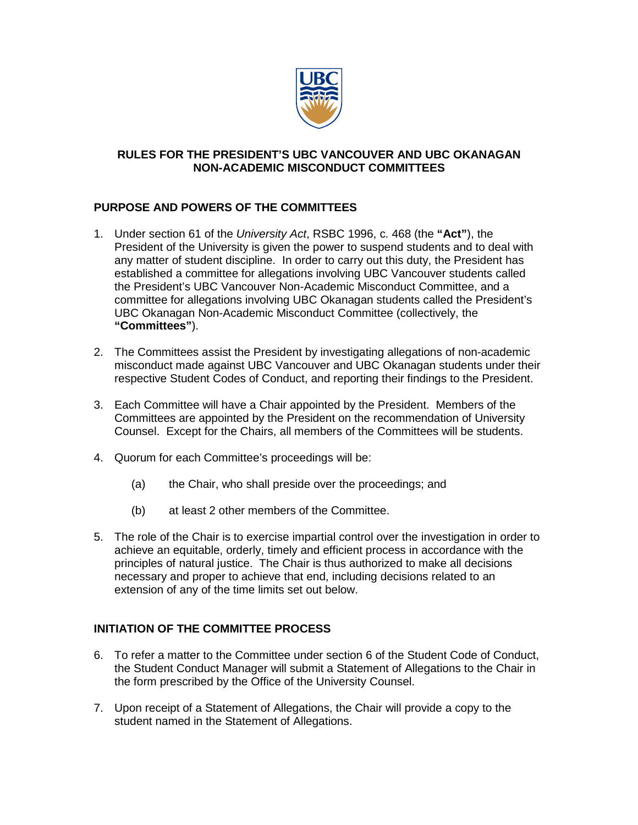

## **RULES FOR THE PRESIDENT'S UBC VANCOUVER AND UBC OKANAGAN NON-ACADEMIC MISCONDUCT COMMITTEES**

## **PURPOSE AND POWERS OF THE COMMITTEES**

- 1. Under section 61 of the *University Act*, RSBC 1996, c. 468 (the **"Act"**), the President of the University is given the power to suspend students and to deal with any matter of student discipline. In order to carry out this duty, the President has established a committee for allegations involving UBC Vancouver students called the President's UBC Vancouver Non-Academic Misconduct Committee, and a committee for allegations involving UBC Okanagan students called the President's UBC Okanagan Non-Academic Misconduct Committee (collectively, the **"Committees"**).
- 2. The Committees assist the President by investigating allegations of non-academic misconduct made against UBC Vancouver and UBC Okanagan students under their respective Student Codes of Conduct, and reporting their findings to the President.
- 3. Each Committee will have a Chair appointed by the President. Members of the Committees are appointed by the President on the recommendation of University Counsel. Except for the Chairs, all members of the Committees will be students.
- 4. Quorum for each Committee's proceedings will be:
	- (a) the Chair, who shall preside over the proceedings; and
	- (b) at least 2 other members of the Committee.
- 5. The role of the Chair is to exercise impartial control over the investigation in order to achieve an equitable, orderly, timely and efficient process in accordance with the principles of natural justice. The Chair is thus authorized to make all decisions necessary and proper to achieve that end, including decisions related to an extension of any of the time limits set out below.

## **INITIATION OF THE COMMITTEE PROCESS**

- 6. To refer a matter to the Committee under section 6 of the Student Code of Conduct, the Student Conduct Manager will submit a Statement of Allegations to the Chair in the form prescribed by the Office of the University Counsel.
- 7. Upon receipt of a Statement of Allegations, the Chair will provide a copy to the student named in the Statement of Allegations.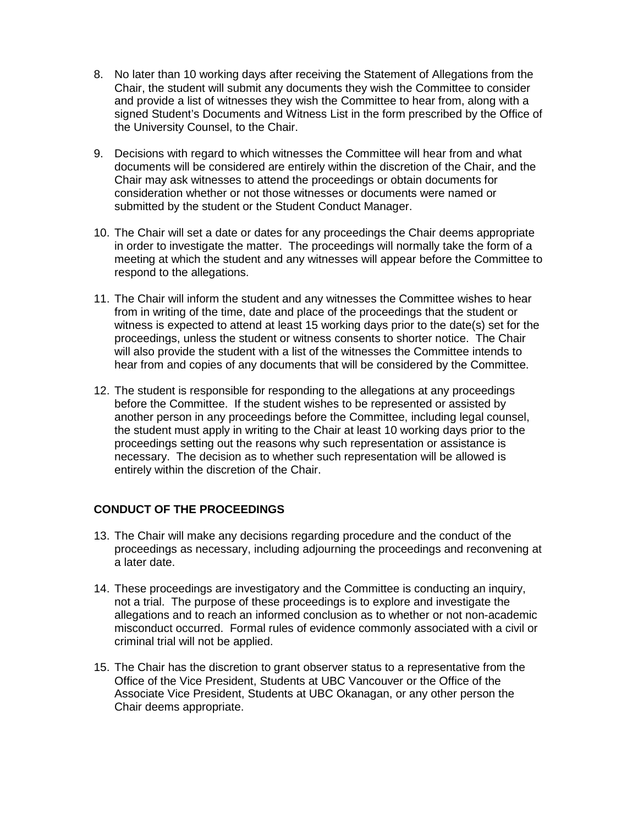- 8. No later than 10 working days after receiving the Statement of Allegations from the Chair, the student will submit any documents they wish the Committee to consider and provide a list of witnesses they wish the Committee to hear from, along with a signed Student's Documents and Witness List in the form prescribed by the Office of the University Counsel, to the Chair.
- 9. Decisions with regard to which witnesses the Committee will hear from and what documents will be considered are entirely within the discretion of the Chair, and the Chair may ask witnesses to attend the proceedings or obtain documents for consideration whether or not those witnesses or documents were named or submitted by the student or the Student Conduct Manager.
- 10. The Chair will set a date or dates for any proceedings the Chair deems appropriate in order to investigate the matter. The proceedings will normally take the form of a meeting at which the student and any witnesses will appear before the Committee to respond to the allegations.
- 11. The Chair will inform the student and any witnesses the Committee wishes to hear from in writing of the time, date and place of the proceedings that the student or witness is expected to attend at least 15 working days prior to the date(s) set for the proceedings, unless the student or witness consents to shorter notice. The Chair will also provide the student with a list of the witnesses the Committee intends to hear from and copies of any documents that will be considered by the Committee.
- 12. The student is responsible for responding to the allegations at any proceedings before the Committee. If the student wishes to be represented or assisted by another person in any proceedings before the Committee, including legal counsel, the student must apply in writing to the Chair at least 10 working days prior to the proceedings setting out the reasons why such representation or assistance is necessary. The decision as to whether such representation will be allowed is entirely within the discretion of the Chair.

## **CONDUCT OF THE PROCEEDINGS**

- 13. The Chair will make any decisions regarding procedure and the conduct of the proceedings as necessary, including adjourning the proceedings and reconvening at a later date.
- 14. These proceedings are investigatory and the Committee is conducting an inquiry, not a trial. The purpose of these proceedings is to explore and investigate the allegations and to reach an informed conclusion as to whether or not non-academic misconduct occurred. Formal rules of evidence commonly associated with a civil or criminal trial will not be applied.
- 15. The Chair has the discretion to grant observer status to a representative from the Office of the Vice President, Students at UBC Vancouver or the Office of the Associate Vice President, Students at UBC Okanagan, or any other person the Chair deems appropriate.